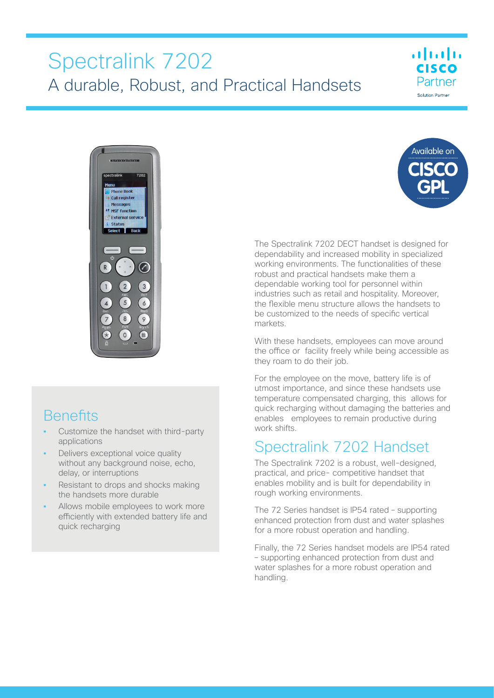# Spectralink 7202 A durable, Robust, and Practical Handsets



# **Benefits**

- **•** Customize the handset with third-party applications
- **•** Delivers exceptional voice quality without any background noise, echo, delay, or interruptions
- **•** Resistant to drops and shocks making the handsets more durable
- **•** Allows mobile employees to work more efficiently with extended battery life and quick recharging



 $\cdot$ **CISCO** Partner Solution Partne

The Spectralink 7202 DECT handset is designed for dependability and increased mobility in specialized working environments. The functionalities of these robust and practical handsets make them a dependable working tool for personnel within industries such as retail and hospitality. Moreover, the flexible menu structure allows the handsets to be customized to the needs of specific vertical markets.

With these handsets, employees can move around the office or facility freely while being accessible as they roam to do their job.

For the employee on the move, battery life is of utmost importance, and since these handsets use temperature compensated charging, this allows for quick recharging without damaging the batteries and enables employees to remain productive during work shifts.

# Spectralink 7202 Handset

The Spectralink 7202 is a robust, well-designed, practical, and price- competitive handset that enables mobility and is built for dependability in rough working environments.

The 72 Series handset is IP54 rated – supporting enhanced protection from dust and water splashes for a more robust operation and handling.

Finally, the 72 Series handset models are IP54 rated – supporting enhanced protection from dust and water splashes for a more robust operation and handling.